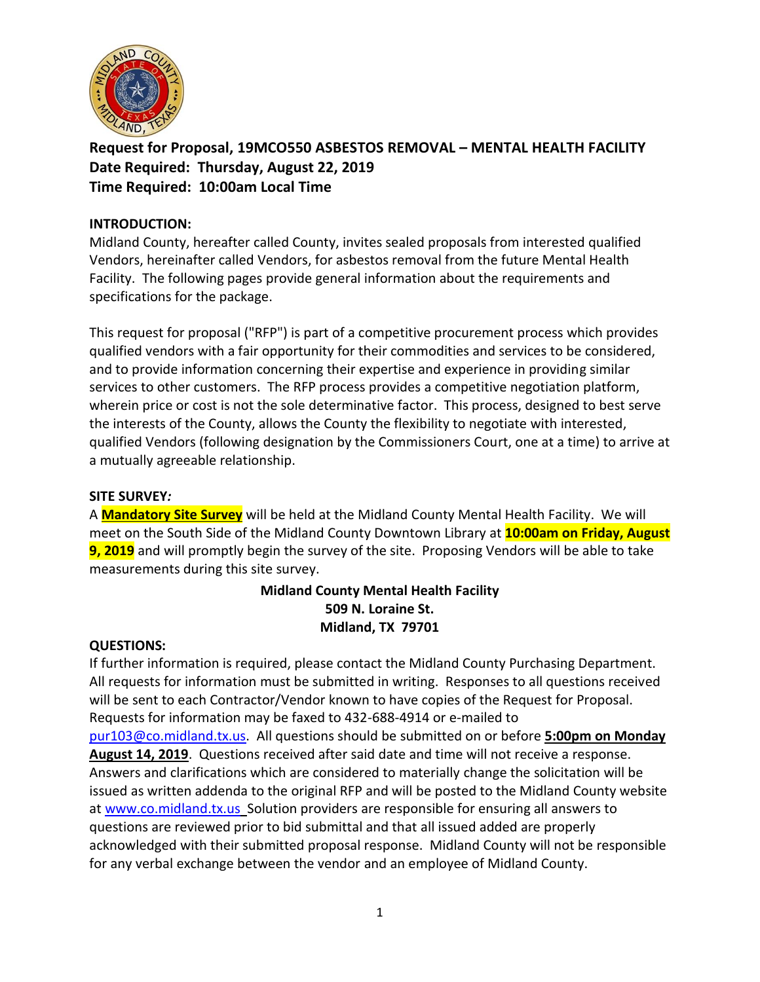

**Request for Proposal, 19MCO550 ASBESTOS REMOVAL – MENTAL HEALTH FACILITY Date Required: Thursday, August 22, 2019 Time Required: 10:00am Local Time**

### **INTRODUCTION:**

Midland County, hereafter called County, invites sealed proposals from interested qualified Vendors, hereinafter called Vendors, for asbestos removal from the future Mental Health Facility. The following pages provide general information about the requirements and specifications for the package.

This request for proposal ("RFP") is part of a competitive procurement process which provides qualified vendors with a fair opportunity for their commodities and services to be considered, and to provide information concerning their expertise and experience in providing similar services to other customers. The RFP process provides a competitive negotiation platform, wherein price or cost is not the sole determinative factor. This process, designed to best serve the interests of the County, allows the County the flexibility to negotiate with interested, qualified Vendors (following designation by the Commissioners Court, one at a time) to arrive at a mutually agreeable relationship.

#### **SITE SURVEY***:*

A **Mandatory Site Survey** will be held at the Midland County Mental Health Facility. We will meet on the South Side of the Midland County Downtown Library at **10:00am on Friday, August 9, 2019** and will promptly begin the survey of the site. Proposing Vendors will be able to take measurements during this site survey.

# **Midland County Mental Health Facility 509 N. Loraine St. Midland, TX 79701**

#### **QUESTIONS:**

If further information is required, please contact the Midland County Purchasing Department. All requests for information must be submitted in writing. Responses to all questions received will be sent to each Contractor/Vendor known to have copies of the Request for Proposal. Requests for information may be faxed to 432-688-4914 or e-mailed to [pur103@co.midland.tx.us.](mailto:pur103@co.midland.tx.us) All questions should be submitted on or before **5:00pm on Monday August 14, 2019**. Questions received after said date and time will not receive a response. Answers and clarifications which are considered to materially change the solicitation will be issued as written addenda to the original RFP and will be posted to the Midland County website at [www.co.midland.tx.us](http://www.co.midland.tx.us/) Solution providers are responsible for ensuring all answers to questions are reviewed prior to bid submittal and that all issued added are properly acknowledged with their submitted proposal response. Midland County will not be responsible for any verbal exchange between the vendor and an employee of Midland County.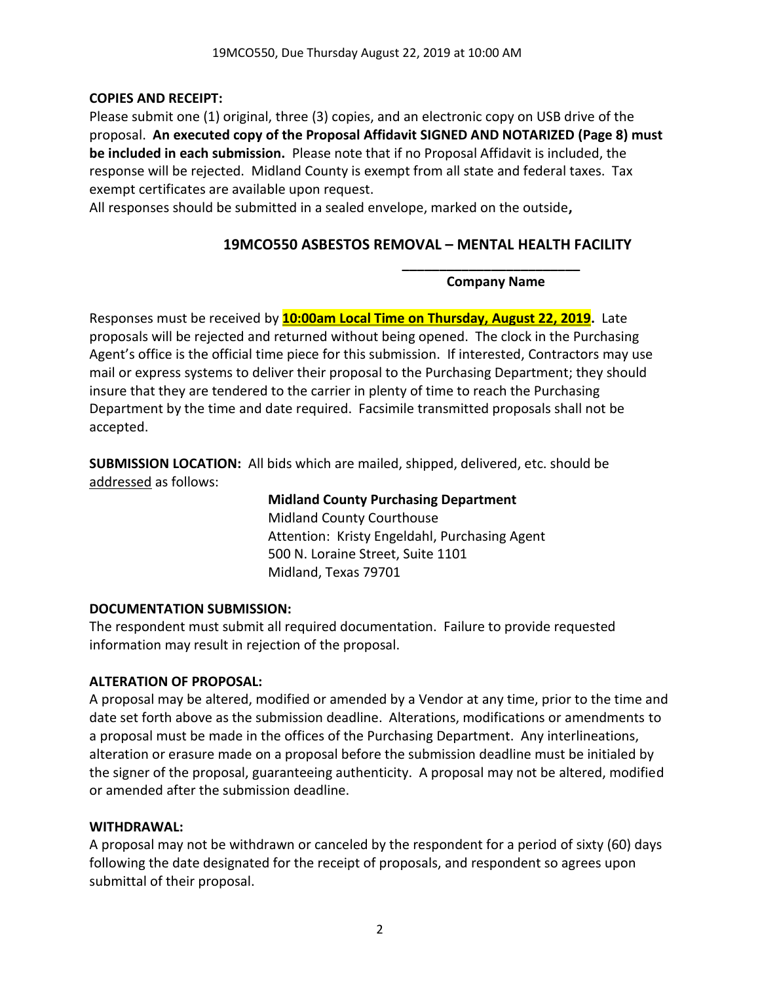# **COPIES AND RECEIPT:**

Please submit one (1) original, three (3) copies, and an electronic copy on USB drive of the proposal. **An executed copy of the Proposal Affidavit SIGNED AND NOTARIZED (Page 8) must be included in each submission.** Please note that if no Proposal Affidavit is included, the response will be rejected. Midland County is exempt from all state and federal taxes. Tax exempt certificates are available upon request.

All responses should be submitted in a sealed envelope, marked on the outside**,** 

# **19MCO550 ASBESTOS REMOVAL – MENTAL HEALTH FACILITY**

**\_\_\_\_\_\_\_\_\_\_\_\_\_\_\_\_\_\_\_\_\_\_\_\_ Company Name**

Responses must be received by **10:00am Local Time on Thursday, August 22, 2019.** Late proposals will be rejected and returned without being opened. The clock in the Purchasing Agent's office is the official time piece for this submission. If interested, Contractors may use mail or express systems to deliver their proposal to the Purchasing Department; they should insure that they are tendered to the carrier in plenty of time to reach the Purchasing Department by the time and date required. Facsimile transmitted proposals shall not be accepted.

**SUBMISSION LOCATION:** All bids which are mailed, shipped, delivered, etc. should be addressed as follows:

> **Midland County Purchasing Department** Midland County Courthouse Attention: Kristy Engeldahl, Purchasing Agent 500 N. Loraine Street, Suite 1101 Midland, Texas 79701

# **DOCUMENTATION SUBMISSION:**

The respondent must submit all required documentation. Failure to provide requested information may result in rejection of the proposal.

# **ALTERATION OF PROPOSAL:**

A proposal may be altered, modified or amended by a Vendor at any time, prior to the time and date set forth above as the submission deadline. Alterations, modifications or amendments to a proposal must be made in the offices of the Purchasing Department. Any interlineations, alteration or erasure made on a proposal before the submission deadline must be initialed by the signer of the proposal, guaranteeing authenticity. A proposal may not be altered, modified or amended after the submission deadline.

# **WITHDRAWAL:**

A proposal may not be withdrawn or canceled by the respondent for a period of sixty (60) days following the date designated for the receipt of proposals, and respondent so agrees upon submittal of their proposal.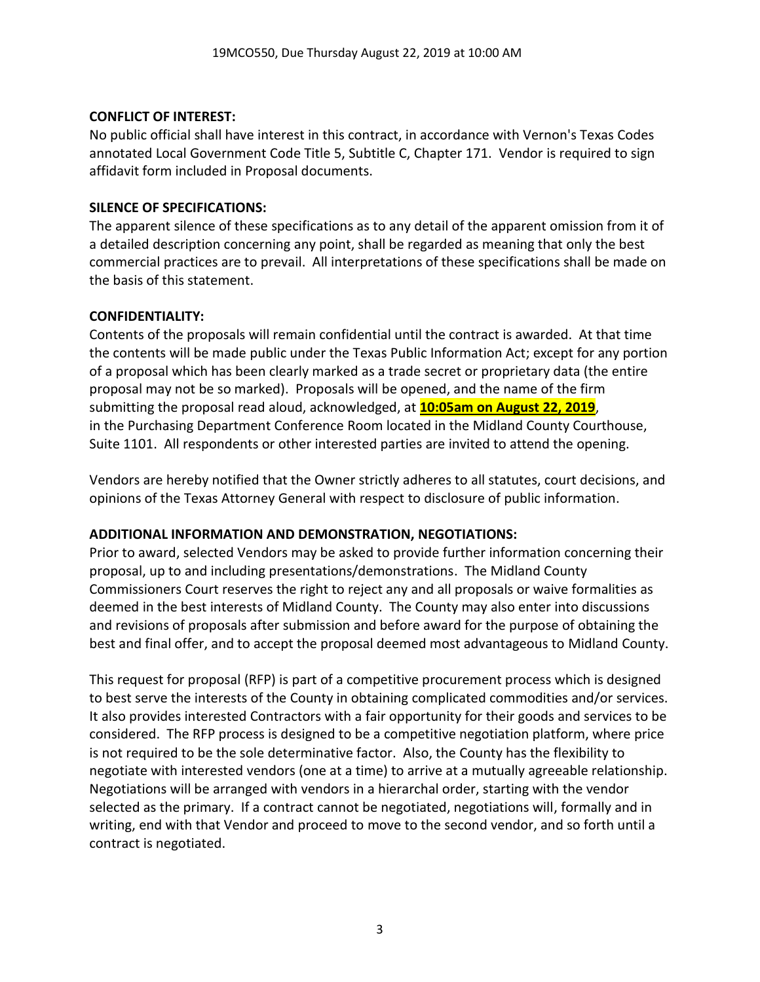### **CONFLICT OF INTEREST:**

No public official shall have interest in this contract, in accordance with Vernon's Texas Codes annotated Local Government Code Title 5, Subtitle C, Chapter 171. Vendor is required to sign affidavit form included in Proposal documents.

### **SILENCE OF SPECIFICATIONS:**

The apparent silence of these specifications as to any detail of the apparent omission from it of a detailed description concerning any point, shall be regarded as meaning that only the best commercial practices are to prevail. All interpretations of these specifications shall be made on the basis of this statement.

### **CONFIDENTIALITY:**

Contents of the proposals will remain confidential until the contract is awarded. At that time the contents will be made public under the Texas Public Information Act; except for any portion of a proposal which has been clearly marked as a trade secret or proprietary data (the entire proposal may not be so marked). Proposals will be opened, and the name of the firm submitting the proposal read aloud, acknowledged, at **10:05am on August 22, 2019**, in the Purchasing Department Conference Room located in the Midland County Courthouse, Suite 1101. All respondents or other interested parties are invited to attend the opening.

Vendors are hereby notified that the Owner strictly adheres to all statutes, court decisions, and opinions of the Texas Attorney General with respect to disclosure of public information.

# **ADDITIONAL INFORMATION AND DEMONSTRATION, NEGOTIATIONS:**

Prior to award, selected Vendors may be asked to provide further information concerning their proposal, up to and including presentations/demonstrations. The Midland County Commissioners Court reserves the right to reject any and all proposals or waive formalities as deemed in the best interests of Midland County. The County may also enter into discussions and revisions of proposals after submission and before award for the purpose of obtaining the best and final offer, and to accept the proposal deemed most advantageous to Midland County.

This request for proposal (RFP) is part of a competitive procurement process which is designed to best serve the interests of the County in obtaining complicated commodities and/or services. It also provides interested Contractors with a fair opportunity for their goods and services to be considered. The RFP process is designed to be a competitive negotiation platform, where price is not required to be the sole determinative factor. Also, the County has the flexibility to negotiate with interested vendors (one at a time) to arrive at a mutually agreeable relationship. Negotiations will be arranged with vendors in a hierarchal order, starting with the vendor selected as the primary. If a contract cannot be negotiated, negotiations will, formally and in writing, end with that Vendor and proceed to move to the second vendor, and so forth until a contract is negotiated.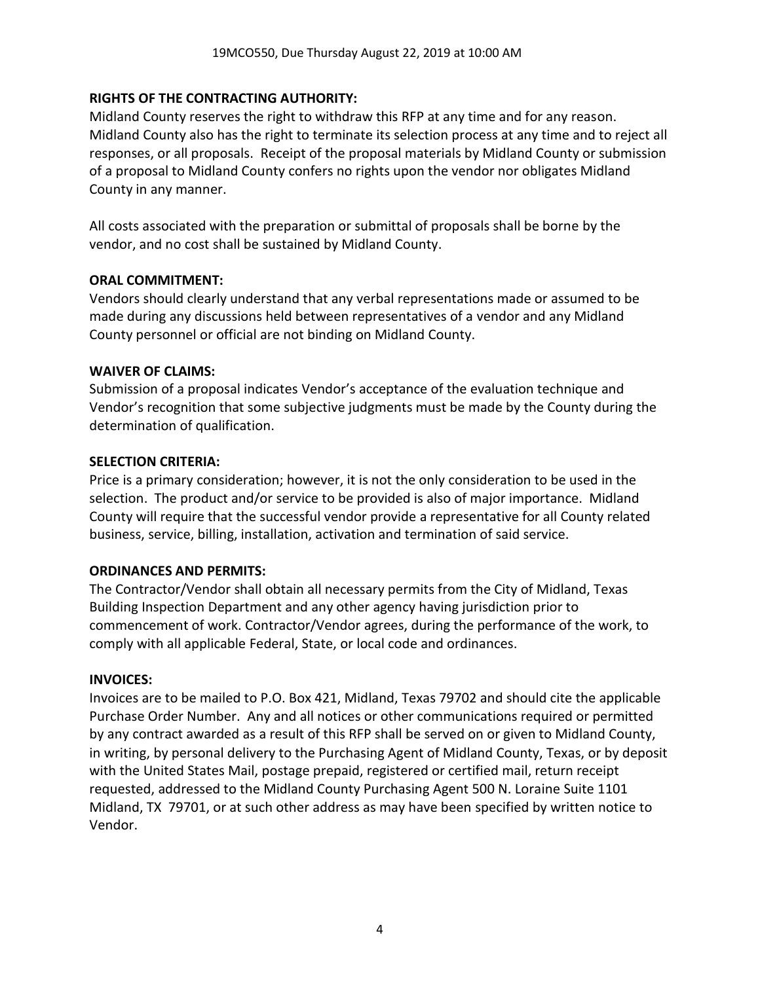### **RIGHTS OF THE CONTRACTING AUTHORITY:**

Midland County reserves the right to withdraw this RFP at any time and for any reason. Midland County also has the right to terminate its selection process at any time and to reject all responses, or all proposals. Receipt of the proposal materials by Midland County or submission of a proposal to Midland County confers no rights upon the vendor nor obligates Midland County in any manner.

All costs associated with the preparation or submittal of proposals shall be borne by the vendor, and no cost shall be sustained by Midland County.

#### **ORAL COMMITMENT:**

Vendors should clearly understand that any verbal representations made or assumed to be made during any discussions held between representatives of a vendor and any Midland County personnel or official are not binding on Midland County.

#### **WAIVER OF CLAIMS:**

Submission of a proposal indicates Vendor's acceptance of the evaluation technique and Vendor's recognition that some subjective judgments must be made by the County during the determination of qualification.

#### **SELECTION CRITERIA:**

Price is a primary consideration; however, it is not the only consideration to be used in the selection. The product and/or service to be provided is also of major importance. Midland County will require that the successful vendor provide a representative for all County related business, service, billing, installation, activation and termination of said service.

#### **ORDINANCES AND PERMITS:**

The Contractor/Vendor shall obtain all necessary permits from the City of Midland, Texas Building Inspection Department and any other agency having jurisdiction prior to commencement of work. Contractor/Vendor agrees, during the performance of the work, to comply with all applicable Federal, State, or local code and ordinances.

#### **INVOICES:**

Invoices are to be mailed to P.O. Box 421, Midland, Texas 79702 and should cite the applicable Purchase Order Number. Any and all notices or other communications required or permitted by any contract awarded as a result of this RFP shall be served on or given to Midland County, in writing, by personal delivery to the Purchasing Agent of Midland County, Texas, or by deposit with the United States Mail, postage prepaid, registered or certified mail, return receipt requested, addressed to the Midland County Purchasing Agent 500 N. Loraine Suite 1101 Midland, TX 79701, or at such other address as may have been specified by written notice to Vendor.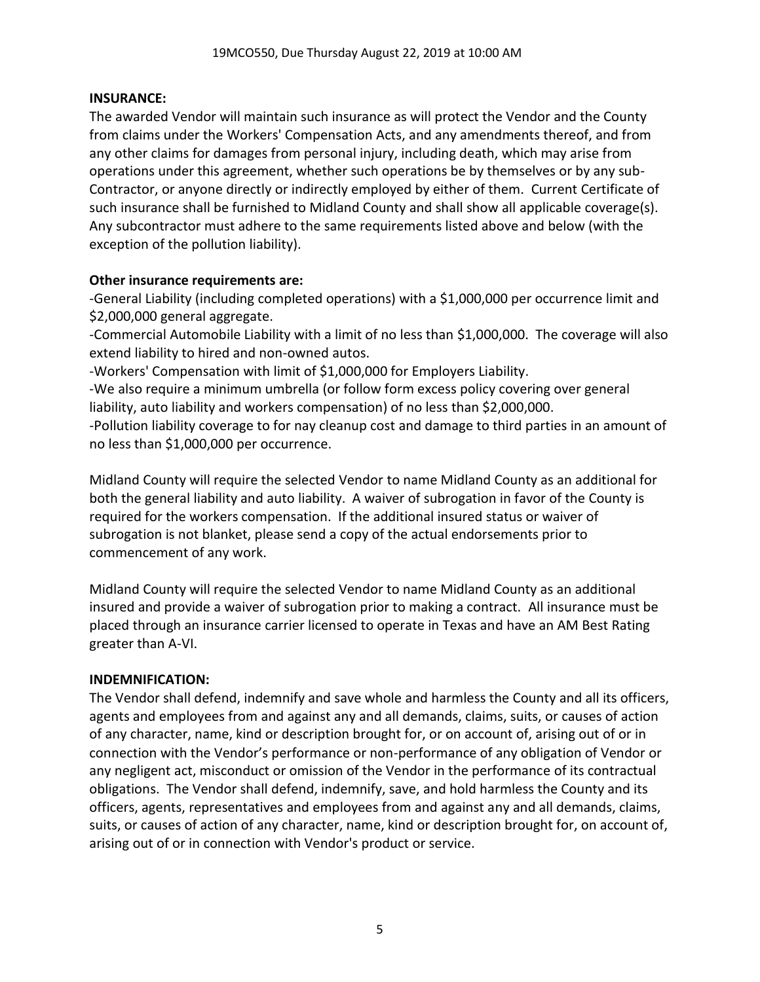#### **INSURANCE:**

The awarded Vendor will maintain such insurance as will protect the Vendor and the County from claims under the Workers' Compensation Acts, and any amendments thereof, and from any other claims for damages from personal injury, including death, which may arise from operations under this agreement, whether such operations be by themselves or by any sub-Contractor, or anyone directly or indirectly employed by either of them. Current Certificate of such insurance shall be furnished to Midland County and shall show all applicable coverage(s). Any subcontractor must adhere to the same requirements listed above and below (with the exception of the pollution liability).

### **Other insurance requirements are:**

-General Liability (including completed operations) with a \$1,000,000 per occurrence limit and \$2,000,000 general aggregate.

-Commercial Automobile Liability with a limit of no less than \$1,000,000. The coverage will also extend liability to hired and non-owned autos.

-Workers' Compensation with limit of \$1,000,000 for Employers Liability.

-We also require a minimum umbrella (or follow form excess policy covering over general liability, auto liability and workers compensation) of no less than \$2,000,000.

-Pollution liability coverage to for nay cleanup cost and damage to third parties in an amount of no less than \$1,000,000 per occurrence.

Midland County will require the selected Vendor to name Midland County as an additional for both the general liability and auto liability. A waiver of subrogation in favor of the County is required for the workers compensation. If the additional insured status or waiver of subrogation is not blanket, please send a copy of the actual endorsements prior to commencement of any work.

Midland County will require the selected Vendor to name Midland County as an additional insured and provide a waiver of subrogation prior to making a contract. All insurance must be placed through an insurance carrier licensed to operate in Texas and have an AM Best Rating greater than A-VI.

# **INDEMNIFICATION:**

The Vendor shall defend, indemnify and save whole and harmless the County and all its officers, agents and employees from and against any and all demands, claims, suits, or causes of action of any character, name, kind or description brought for, or on account of, arising out of or in connection with the Vendor's performance or non-performance of any obligation of Vendor or any negligent act, misconduct or omission of the Vendor in the performance of its contractual obligations. The Vendor shall defend, indemnify, save, and hold harmless the County and its officers, agents, representatives and employees from and against any and all demands, claims, suits, or causes of action of any character, name, kind or description brought for, on account of, arising out of or in connection with Vendor's product or service.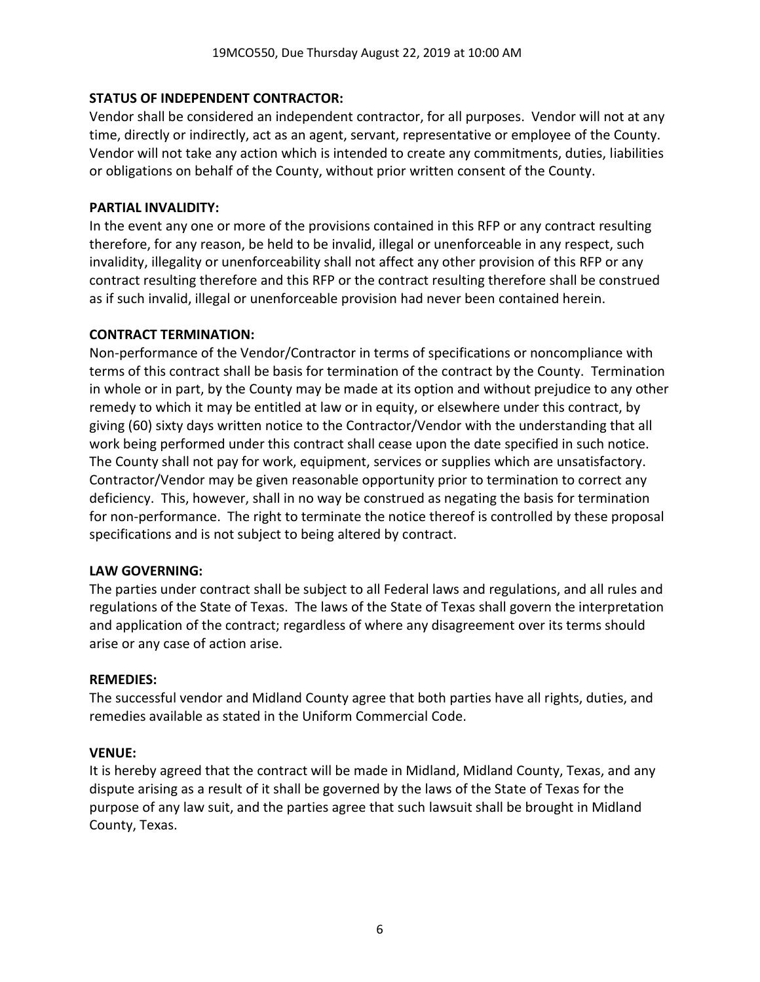### **STATUS OF INDEPENDENT CONTRACTOR:**

Vendor shall be considered an independent contractor, for all purposes. Vendor will not at any time, directly or indirectly, act as an agent, servant, representative or employee of the County. Vendor will not take any action which is intended to create any commitments, duties, liabilities or obligations on behalf of the County, without prior written consent of the County.

### **PARTIAL INVALIDITY:**

In the event any one or more of the provisions contained in this RFP or any contract resulting therefore, for any reason, be held to be invalid, illegal or unenforceable in any respect, such invalidity, illegality or unenforceability shall not affect any other provision of this RFP or any contract resulting therefore and this RFP or the contract resulting therefore shall be construed as if such invalid, illegal or unenforceable provision had never been contained herein.

### **CONTRACT TERMINATION:**

Non-performance of the Vendor/Contractor in terms of specifications or noncompliance with terms of this contract shall be basis for termination of the contract by the County. Termination in whole or in part, by the County may be made at its option and without prejudice to any other remedy to which it may be entitled at law or in equity, or elsewhere under this contract, by giving (60) sixty days written notice to the Contractor/Vendor with the understanding that all work being performed under this contract shall cease upon the date specified in such notice. The County shall not pay for work, equipment, services or supplies which are unsatisfactory. Contractor/Vendor may be given reasonable opportunity prior to termination to correct any deficiency. This, however, shall in no way be construed as negating the basis for termination for non-performance. The right to terminate the notice thereof is controlled by these proposal specifications and is not subject to being altered by contract.

#### **LAW GOVERNING:**

The parties under contract shall be subject to all Federal laws and regulations, and all rules and regulations of the State of Texas. The laws of the State of Texas shall govern the interpretation and application of the contract; regardless of where any disagreement over its terms should arise or any case of action arise.

#### **REMEDIES:**

The successful vendor and Midland County agree that both parties have all rights, duties, and remedies available as stated in the Uniform Commercial Code.

#### **VENUE:**

It is hereby agreed that the contract will be made in Midland, Midland County, Texas, and any dispute arising as a result of it shall be governed by the laws of the State of Texas for the purpose of any law suit, and the parties agree that such lawsuit shall be brought in Midland County, Texas.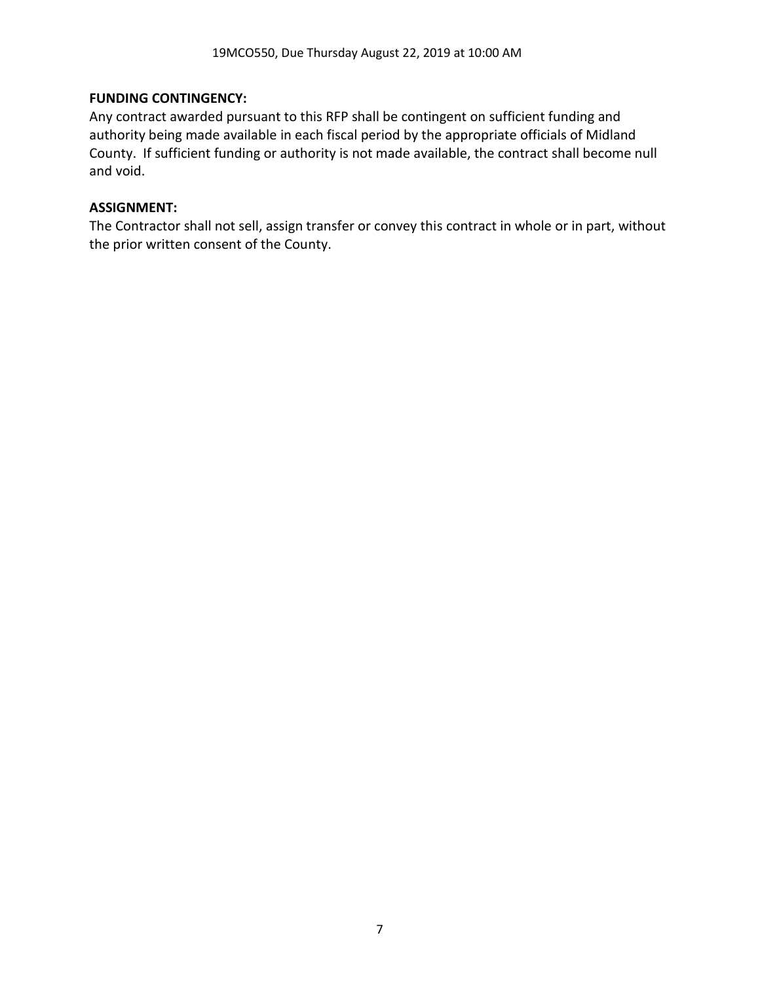### **FUNDING CONTINGENCY:**

Any contract awarded pursuant to this RFP shall be contingent on sufficient funding and authority being made available in each fiscal period by the appropriate officials of Midland County. If sufficient funding or authority is not made available, the contract shall become null and void.

### **ASSIGNMENT:**

The Contractor shall not sell, assign transfer or convey this contract in whole or in part, without the prior written consent of the County.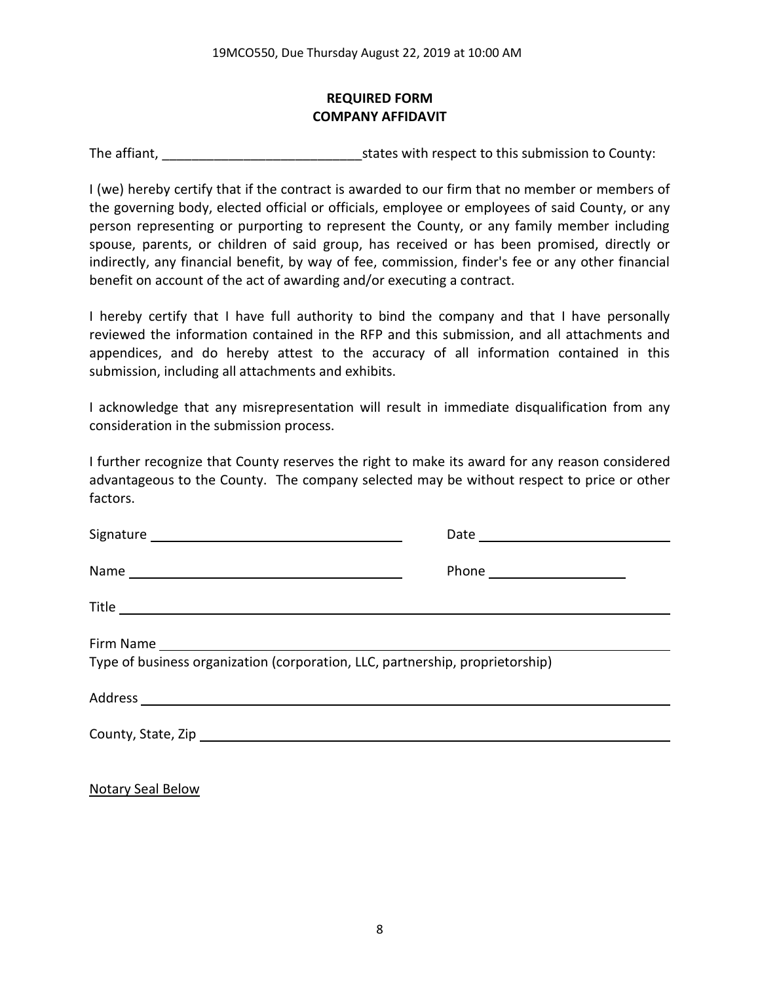# **REQUIRED FORM COMPANY AFFIDAVIT**

The affiant, The affiant, The affiant,  $\frac{1}{2}$  is tates with respect to this submission to County:

I (we) hereby certify that if the contract is awarded to our firm that no member or members of the governing body, elected official or officials, employee or employees of said County, or any person representing or purporting to represent the County, or any family member including spouse, parents, or children of said group, has received or has been promised, directly or indirectly, any financial benefit, by way of fee, commission, finder's fee or any other financial benefit on account of the act of awarding and/or executing a contract.

I hereby certify that I have full authority to bind the company and that I have personally reviewed the information contained in the RFP and this submission, and all attachments and appendices, and do hereby attest to the accuracy of all information contained in this submission, including all attachments and exhibits.

I acknowledge that any misrepresentation will result in immediate disqualification from any consideration in the submission process.

I further recognize that County reserves the right to make its award for any reason considered advantageous to the County. The company selected may be without respect to price or other factors.

| Type of business organization (corporation, LLC, partnership, proprietorship) |  |
|-------------------------------------------------------------------------------|--|
|                                                                               |  |
|                                                                               |  |
|                                                                               |  |

Notary Seal Below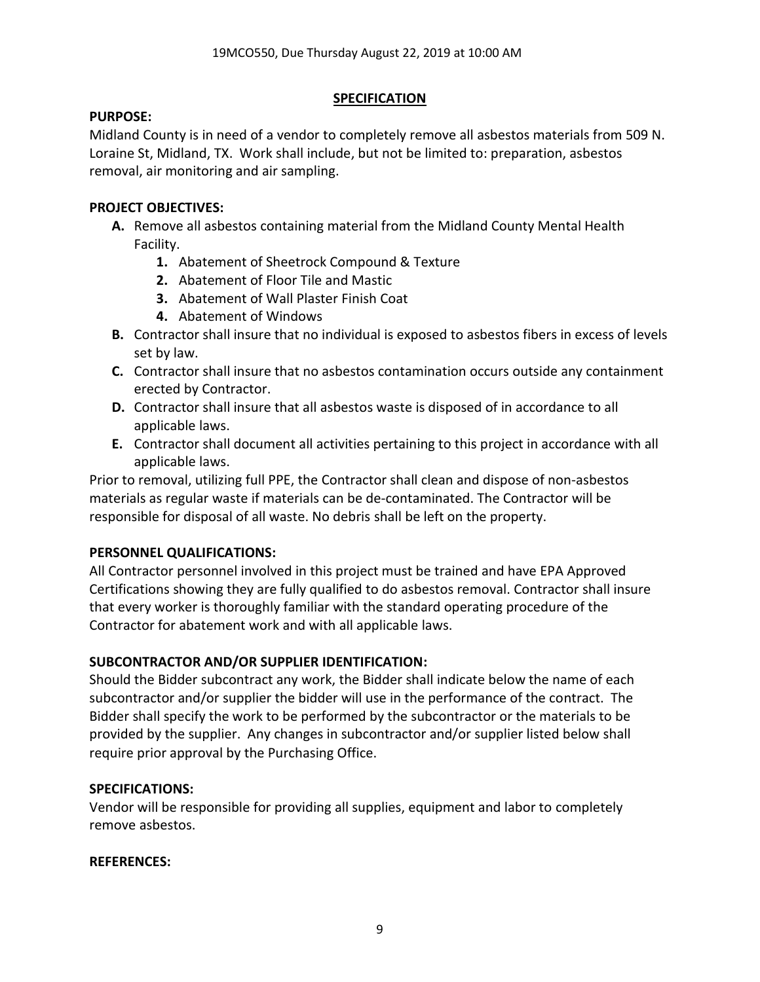# **SPECIFICATION**

### **PURPOSE:**

Midland County is in need of a vendor to completely remove all asbestos materials from 509 N. Loraine St, Midland, TX. Work shall include, but not be limited to: preparation, asbestos removal, air monitoring and air sampling.

# **PROJECT OBJECTIVES:**

- **A.** Remove all asbestos containing material from the Midland County Mental Health Facility.
	- **1.** Abatement of Sheetrock Compound & Texture
	- **2.** Abatement of Floor Tile and Mastic
	- **3.** Abatement of Wall Plaster Finish Coat
	- **4.** Abatement of Windows
- **B.** Contractor shall insure that no individual is exposed to asbestos fibers in excess of levels set by law.
- **C.** Contractor shall insure that no asbestos contamination occurs outside any containment erected by Contractor.
- **D.** Contractor shall insure that all asbestos waste is disposed of in accordance to all applicable laws.
- **E.** Contractor shall document all activities pertaining to this project in accordance with all applicable laws.

Prior to removal, utilizing full PPE, the Contractor shall clean and dispose of non-asbestos materials as regular waste if materials can be de-contaminated. The Contractor will be responsible for disposal of all waste. No debris shall be left on the property.

# **PERSONNEL QUALIFICATIONS:**

All Contractor personnel involved in this project must be trained and have EPA Approved Certifications showing they are fully qualified to do asbestos removal. Contractor shall insure that every worker is thoroughly familiar with the standard operating procedure of the Contractor for abatement work and with all applicable laws.

# **SUBCONTRACTOR AND/OR SUPPLIER IDENTIFICATION:**

Should the Bidder subcontract any work, the Bidder shall indicate below the name of each subcontractor and/or supplier the bidder will use in the performance of the contract. The Bidder shall specify the work to be performed by the subcontractor or the materials to be provided by the supplier. Any changes in subcontractor and/or supplier listed below shall require prior approval by the Purchasing Office.

# **SPECIFICATIONS:**

Vendor will be responsible for providing all supplies, equipment and labor to completely remove asbestos.

# **REFERENCES:**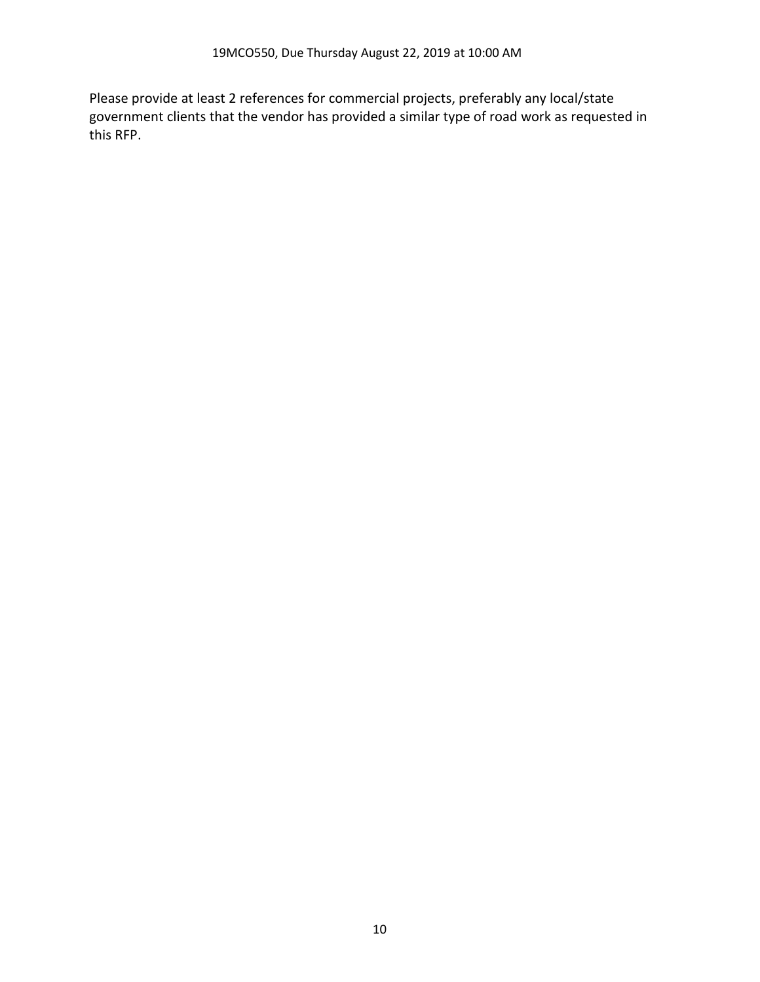Please provide at least 2 references for commercial projects, preferably any local/state government clients that the vendor has provided a similar type of road work as requested in this RFP.